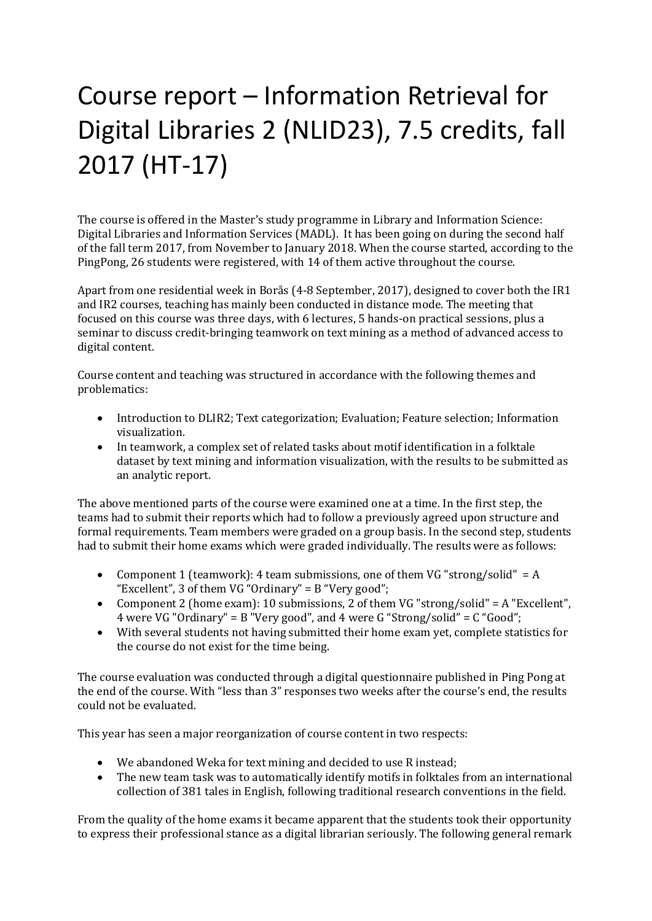## Course report – Information Retrieval for Digital Libraries 2 (NLID23), 7.5 credits, fall 2017 (HT-17)

The course is offered in the Master's study programme in Library and Information Science: Digital Libraries and Information Services (MADL). It has been going on during the second half of the fall term 2017, from November to January 2018. When the course started, according to the PingPong, 26 students were registered, with 14 of them active throughout the course.

Apart from one residential week in Borås (4-8 September, 2017), designed to cover both the IR1 and IR2 courses, teaching has mainly been conducted in distance mode. The meeting that focused on this course was three days, with 6 lectures, 5 hands-on practical sessions, plus a seminar to discuss credit-bringing teamwork on text mining as a method of advanced access to digital content.

Course content and teaching was structured in accordance with the following themes and problematics:

- Introduction to DLIR2; Text categorization; Evaluation; Feature selection; Information visualization.
- In teamwork, a complex set of related tasks about motif identification in a folktale dataset by text mining and information visualization, with the results to be submitted as an analytic report.

The above mentioned parts of the course were examined one at a time. In the first step, the teams had to submit their reports which had to follow a previously agreed upon structure and formal requirements. Team members were graded on a group basis. In the second step, students had to submit their home exams which were graded individually. The results were as follows:

- Component 1 (teamwork): 4 team submissions, one of them VG "strong/solid"  $= A$ "Excellent", 3 of them VG "Ordinary" = B "Very good";
- Component 2 (home exam): 10 submissions, 2 of them VG "strong/solid" = A "Excellent", 4 were VG "Ordinary" = B "Very good", and 4 were G "Strong/solid" = C "Good";
- With several students not having submitted their home exam yet, complete statistics for the course do not exist for the time being.

The course evaluation was conducted through a digital questionnaire published in Ping Pong at the end of the course. With "less than 3" responses two weeks after the course's end, the results could not be evaluated.

This year has seen a major reorganization of course content in two respects:

- We abandoned Weka for text mining and decided to use R instead;<br>• The new team task was to automatically identify motifs in folktales
- The new team task was to automatically identify motifs in folktales from an international collection of 381 tales in English, following traditional research conventions in the field.

From the quality of the home exams it became apparent that the students took their opportunity to express their professional stance as a digital librarian seriously. The following general remark